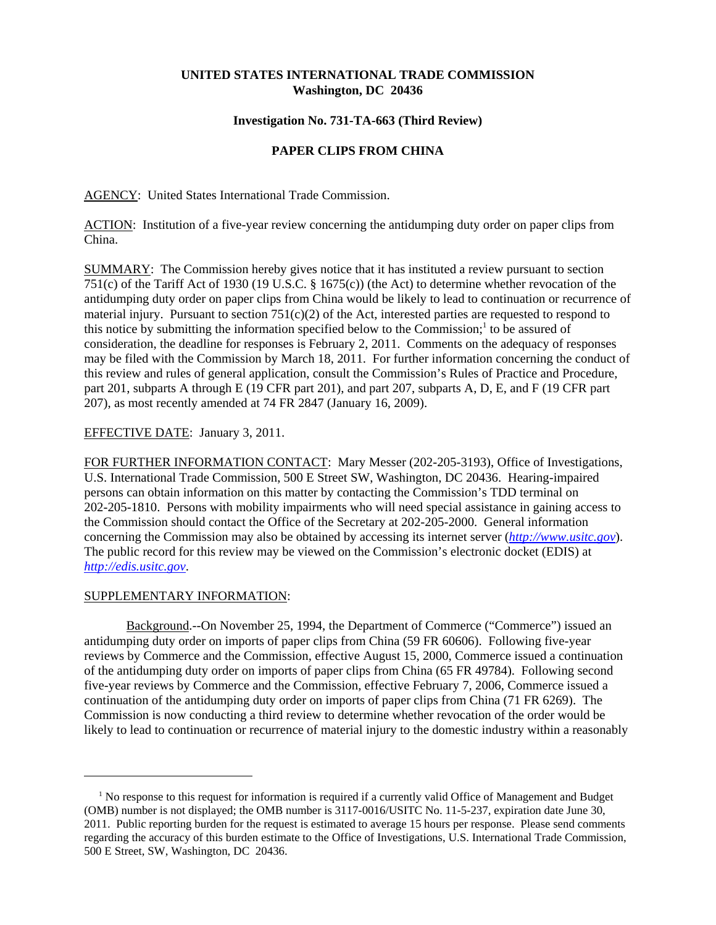### **UNITED STATES INTERNATIONAL TRADE COMMISSION Washington, DC 20436**

### **Investigation No. 731-TA-663 (Third Review)**

# **PAPER CLIPS FROM CHINA**

AGENCY: United States International Trade Commission.

ACTION: Institution of a five-year review concerning the antidumping duty order on paper clips from China.

SUMMARY: The Commission hereby gives notice that it has instituted a review pursuant to section 751(c) of the Tariff Act of 1930 (19 U.S.C. § 1675(c)) (the Act) to determine whether revocation of the antidumping duty order on paper clips from China would be likely to lead to continuation or recurrence of material injury. Pursuant to section  $751(c)(2)$  of the Act, interested parties are requested to respond to this notice by submitting the information specified below to the Commission;<sup>1</sup> to be assured of consideration, the deadline for responses is February 2, 2011. Comments on the adequacy of responses may be filed with the Commission by March 18, 2011. For further information concerning the conduct of this review and rules of general application, consult the Commission's Rules of Practice and Procedure, part 201, subparts A through E (19 CFR part 201), and part 207, subparts A, D, E, and F (19 CFR part 207), as most recently amended at 74 FR 2847 (January 16, 2009).

## EFFECTIVE DATE: January 3, 2011.

FOR FURTHER INFORMATION CONTACT: Mary Messer (202-205-3193), Office of Investigations, U.S. International Trade Commission, 500 E Street SW, Washington, DC 20436. Hearing-impaired persons can obtain information on this matter by contacting the Commission's TDD terminal on 202-205-1810. Persons with mobility impairments who will need special assistance in gaining access to the Commission should contact the Office of the Secretary at 202-205-2000. General information concerning the Commission may also be obtained by accessing its internet server (*http://www.usitc.gov*). The public record for this review may be viewed on the Commission's electronic docket (EDIS) at *http://edis.usitc.gov*.

### SUPPLEMENTARY INFORMATION:

Background.--On November 25, 1994, the Department of Commerce ("Commerce") issued an antidumping duty order on imports of paper clips from China (59 FR 60606). Following five-year reviews by Commerce and the Commission, effective August 15, 2000, Commerce issued a continuation of the antidumping duty order on imports of paper clips from China (65 FR 49784). Following second five-year reviews by Commerce and the Commission, effective February 7, 2006, Commerce issued a continuation of the antidumping duty order on imports of paper clips from China (71 FR 6269). The Commission is now conducting a third review to determine whether revocation of the order would be likely to lead to continuation or recurrence of material injury to the domestic industry within a reasonably

<sup>&</sup>lt;sup>1</sup> No response to this request for information is required if a currently valid Office of Management and Budget (OMB) number is not displayed; the OMB number is 3117-0016/USITC No. 11-5-237, expiration date June 30, 2011. Public reporting burden for the request is estimated to average 15 hours per response. Please send comments regarding the accuracy of this burden estimate to the Office of Investigations, U.S. International Trade Commission, 500 E Street, SW, Washington, DC 20436.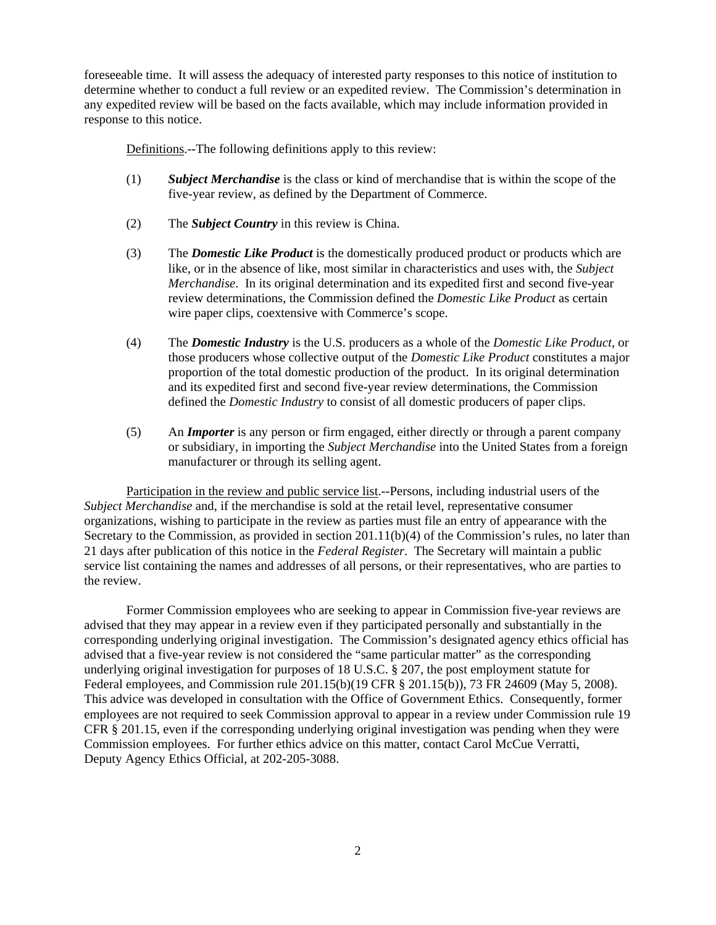foreseeable time. It will assess the adequacy of interested party responses to this notice of institution to determine whether to conduct a full review or an expedited review. The Commission's determination in any expedited review will be based on the facts available, which may include information provided in response to this notice.

Definitions.--The following definitions apply to this review:

- (1) *Subject Merchandise* is the class or kind of merchandise that is within the scope of the five-year review, as defined by the Department of Commerce.
- (2) The *Subject Country* in this review is China.
- (3) The *Domestic Like Product* is the domestically produced product or products which are like, or in the absence of like, most similar in characteristics and uses with, the *Subject Merchandise*. In its original determination and its expedited first and second five-year review determinations, the Commission defined the *Domestic Like Product* as certain wire paper clips, coextensive with Commerce's scope.
- (4) The *Domestic Industry* is the U.S. producers as a whole of the *Domestic Like Product*, or those producers whose collective output of the *Domestic Like Product* constitutes a major proportion of the total domestic production of the product. In its original determination and its expedited first and second five-year review determinations, the Commission defined the *Domestic Industry* to consist of all domestic producers of paper clips.
- (5) An *Importer* is any person or firm engaged, either directly or through a parent company or subsidiary, in importing the *Subject Merchandise* into the United States from a foreign manufacturer or through its selling agent.

Participation in the review and public service list.--Persons, including industrial users of the *Subject Merchandise* and, if the merchandise is sold at the retail level, representative consumer organizations, wishing to participate in the review as parties must file an entry of appearance with the Secretary to the Commission, as provided in section 201.11(b)(4) of the Commission's rules, no later than 21 days after publication of this notice in the *Federal Register*. The Secretary will maintain a public service list containing the names and addresses of all persons, or their representatives, who are parties to the review.

Former Commission employees who are seeking to appear in Commission five-year reviews are advised that they may appear in a review even if they participated personally and substantially in the corresponding underlying original investigation. The Commission's designated agency ethics official has advised that a five-year review is not considered the "same particular matter" as the corresponding underlying original investigation for purposes of 18 U.S.C. § 207, the post employment statute for Federal employees, and Commission rule 201.15(b)(19 CFR § 201.15(b)), 73 FR 24609 (May 5, 2008). This advice was developed in consultation with the Office of Government Ethics. Consequently, former employees are not required to seek Commission approval to appear in a review under Commission rule 19 CFR § 201.15, even if the corresponding underlying original investigation was pending when they were Commission employees. For further ethics advice on this matter, contact Carol McCue Verratti, Deputy Agency Ethics Official, at 202-205-3088.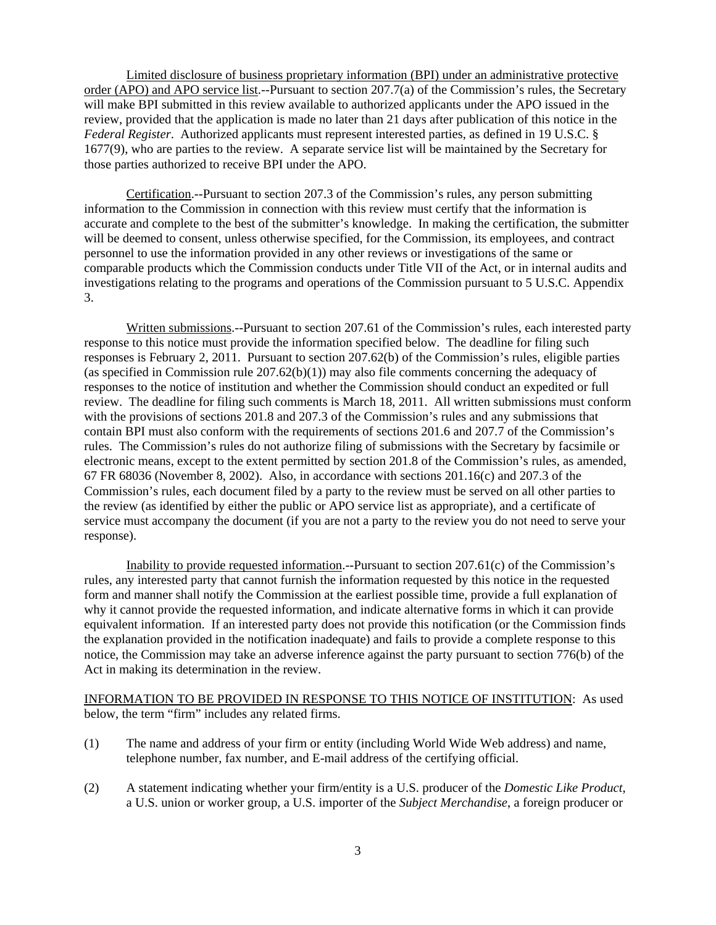Limited disclosure of business proprietary information (BPI) under an administrative protective order (APO) and APO service list.--Pursuant to section 207.7(a) of the Commission's rules, the Secretary will make BPI submitted in this review available to authorized applicants under the APO issued in the review, provided that the application is made no later than 21 days after publication of this notice in the *Federal Register*. Authorized applicants must represent interested parties, as defined in 19 U.S.C. § 1677(9), who are parties to the review. A separate service list will be maintained by the Secretary for those parties authorized to receive BPI under the APO.

Certification.--Pursuant to section 207.3 of the Commission's rules, any person submitting information to the Commission in connection with this review must certify that the information is accurate and complete to the best of the submitter's knowledge. In making the certification, the submitter will be deemed to consent, unless otherwise specified, for the Commission, its employees, and contract personnel to use the information provided in any other reviews or investigations of the same or comparable products which the Commission conducts under Title VII of the Act, or in internal audits and investigations relating to the programs and operations of the Commission pursuant to 5 U.S.C. Appendix 3.

Written submissions.--Pursuant to section 207.61 of the Commission's rules, each interested party response to this notice must provide the information specified below. The deadline for filing such responses is February 2, 2011. Pursuant to section 207.62(b) of the Commission's rules, eligible parties (as specified in Commission rule  $207.62(b)(1)$ ) may also file comments concerning the adequacy of responses to the notice of institution and whether the Commission should conduct an expedited or full review. The deadline for filing such comments is March 18, 2011. All written submissions must conform with the provisions of sections 201.8 and 207.3 of the Commission's rules and any submissions that contain BPI must also conform with the requirements of sections 201.6 and 207.7 of the Commission's rules. The Commission's rules do not authorize filing of submissions with the Secretary by facsimile or electronic means, except to the extent permitted by section 201.8 of the Commission's rules, as amended, 67 FR 68036 (November 8, 2002). Also, in accordance with sections 201.16(c) and 207.3 of the Commission's rules, each document filed by a party to the review must be served on all other parties to the review (as identified by either the public or APO service list as appropriate), and a certificate of service must accompany the document (if you are not a party to the review you do not need to serve your response).

Inability to provide requested information.--Pursuant to section 207.61(c) of the Commission's rules, any interested party that cannot furnish the information requested by this notice in the requested form and manner shall notify the Commission at the earliest possible time, provide a full explanation of why it cannot provide the requested information, and indicate alternative forms in which it can provide equivalent information. If an interested party does not provide this notification (or the Commission finds the explanation provided in the notification inadequate) and fails to provide a complete response to this notice, the Commission may take an adverse inference against the party pursuant to section 776(b) of the Act in making its determination in the review.

INFORMATION TO BE PROVIDED IN RESPONSE TO THIS NOTICE OF INSTITUTION: As used below, the term "firm" includes any related firms.

- (1) The name and address of your firm or entity (including World Wide Web address) and name, telephone number, fax number, and E-mail address of the certifying official.
- (2) A statement indicating whether your firm/entity is a U.S. producer of the *Domestic Like Product*, a U.S. union or worker group, a U.S. importer of the *Subject Merchandise*, a foreign producer or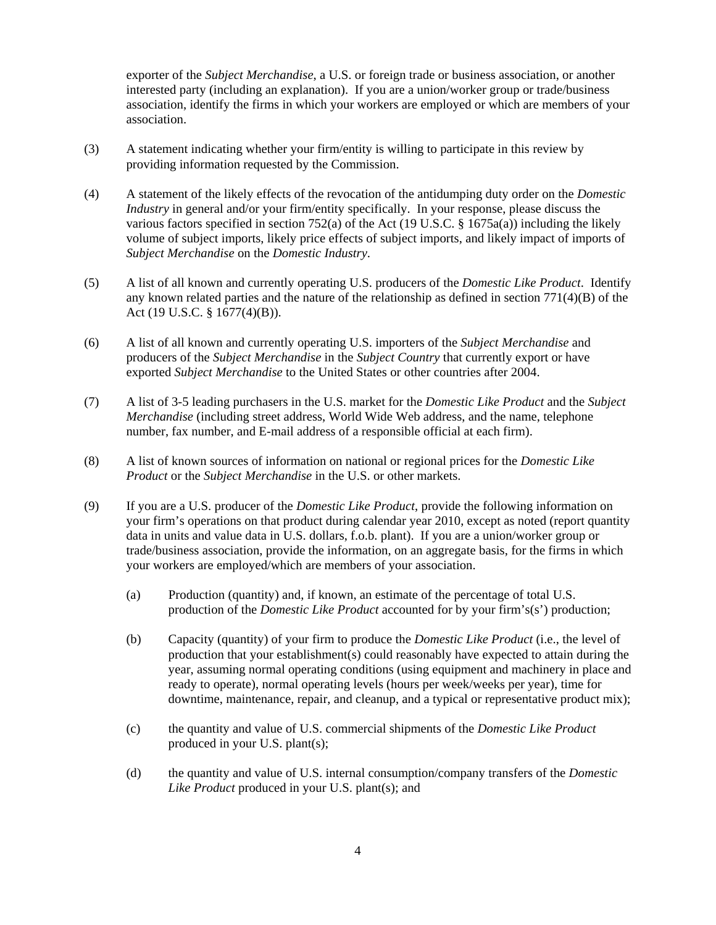exporter of the *Subject Merchandise*, a U.S. or foreign trade or business association, or another interested party (including an explanation). If you are a union/worker group or trade/business association, identify the firms in which your workers are employed or which are members of your association.

- (3) A statement indicating whether your firm/entity is willing to participate in this review by providing information requested by the Commission.
- (4) A statement of the likely effects of the revocation of the antidumping duty order on the *Domestic Industry* in general and/or your firm/entity specifically. In your response, please discuss the various factors specified in section 752(a) of the Act (19 U.S.C. § 1675a(a)) including the likely volume of subject imports, likely price effects of subject imports, and likely impact of imports of *Subject Merchandise* on the *Domestic Industry*.
- (5) A list of all known and currently operating U.S. producers of the *Domestic Like Product*. Identify any known related parties and the nature of the relationship as defined in section  $771(4)(B)$  of the Act (19 U.S.C. § 1677(4)(B)).
- (6) A list of all known and currently operating U.S. importers of the *Subject Merchandise* and producers of the *Subject Merchandise* in the *Subject Country* that currently export or have exported *Subject Merchandise* to the United States or other countries after 2004.
- (7) A list of 3-5 leading purchasers in the U.S. market for the *Domestic Like Product* and the *Subject Merchandise* (including street address, World Wide Web address, and the name, telephone number, fax number, and E-mail address of a responsible official at each firm).
- (8) A list of known sources of information on national or regional prices for the *Domestic Like Product* or the *Subject Merchandise* in the U.S. or other markets.
- (9) If you are a U.S. producer of the *Domestic Like Product*, provide the following information on your firm's operations on that product during calendar year 2010, except as noted (report quantity data in units and value data in U.S. dollars, f.o.b. plant). If you are a union/worker group or trade/business association, provide the information, on an aggregate basis, for the firms in which your workers are employed/which are members of your association.
	- (a) Production (quantity) and, if known, an estimate of the percentage of total U.S. production of the *Domestic Like Product* accounted for by your firm's(s') production;
	- (b) Capacity (quantity) of your firm to produce the *Domestic Like Product* (i.e., the level of production that your establishment(s) could reasonably have expected to attain during the year, assuming normal operating conditions (using equipment and machinery in place and ready to operate), normal operating levels (hours per week/weeks per year), time for downtime, maintenance, repair, and cleanup, and a typical or representative product mix);
	- (c) the quantity and value of U.S. commercial shipments of the *Domestic Like Product* produced in your U.S. plant(s);
	- (d) the quantity and value of U.S. internal consumption/company transfers of the *Domestic Like Product* produced in your U.S. plant(s); and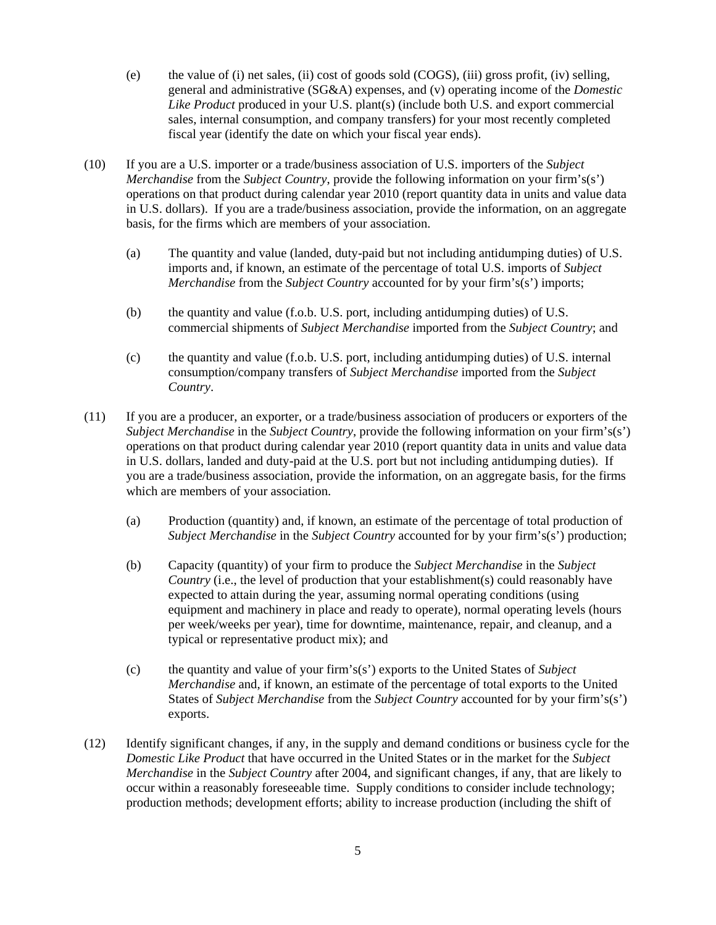- (e) the value of (i) net sales, (ii) cost of goods sold (COGS), (iii) gross profit, (iv) selling, general and administrative (SG&A) expenses, and (v) operating income of the *Domestic Like Product* produced in your U.S. plant(s) (include both U.S. and export commercial sales, internal consumption, and company transfers) for your most recently completed fiscal year (identify the date on which your fiscal year ends).
- (10) If you are a U.S. importer or a trade/business association of U.S. importers of the *Subject Merchandise* from the *Subject Country*, provide the following information on your firm's(s') operations on that product during calendar year 2010 (report quantity data in units and value data in U.S. dollars). If you are a trade/business association, provide the information, on an aggregate basis, for the firms which are members of your association.
	- (a) The quantity and value (landed, duty-paid but not including antidumping duties) of U.S. imports and, if known, an estimate of the percentage of total U.S. imports of *Subject Merchandise* from the *Subject Country* accounted for by your firm's(s') imports;
	- (b) the quantity and value (f.o.b. U.S. port, including antidumping duties) of U.S. commercial shipments of *Subject Merchandise* imported from the *Subject Country*; and
	- (c) the quantity and value (f.o.b. U.S. port, including antidumping duties) of U.S. internal consumption/company transfers of *Subject Merchandise* imported from the *Subject Country*.
- (11) If you are a producer, an exporter, or a trade/business association of producers or exporters of the *Subject Merchandise* in the *Subject Country*, provide the following information on your firm's(s') operations on that product during calendar year 2010 (report quantity data in units and value data in U.S. dollars, landed and duty-paid at the U.S. port but not including antidumping duties). If you are a trade/business association, provide the information, on an aggregate basis, for the firms which are members of your association.
	- (a) Production (quantity) and, if known, an estimate of the percentage of total production of *Subject Merchandise* in the *Subject Country* accounted for by your firm's(s') production;
	- (b) Capacity (quantity) of your firm to produce the *Subject Merchandise* in the *Subject Country* (i.e., the level of production that your establishment(s) could reasonably have expected to attain during the year, assuming normal operating conditions (using equipment and machinery in place and ready to operate), normal operating levels (hours per week/weeks per year), time for downtime, maintenance, repair, and cleanup, and a typical or representative product mix); and
	- (c) the quantity and value of your firm's(s') exports to the United States of *Subject Merchandise* and, if known, an estimate of the percentage of total exports to the United States of *Subject Merchandise* from the *Subject Country* accounted for by your firm's(s') exports.
- (12) Identify significant changes, if any, in the supply and demand conditions or business cycle for the *Domestic Like Product* that have occurred in the United States or in the market for the *Subject Merchandise* in the *Subject Country* after 2004, and significant changes, if any, that are likely to occur within a reasonably foreseeable time. Supply conditions to consider include technology; production methods; development efforts; ability to increase production (including the shift of